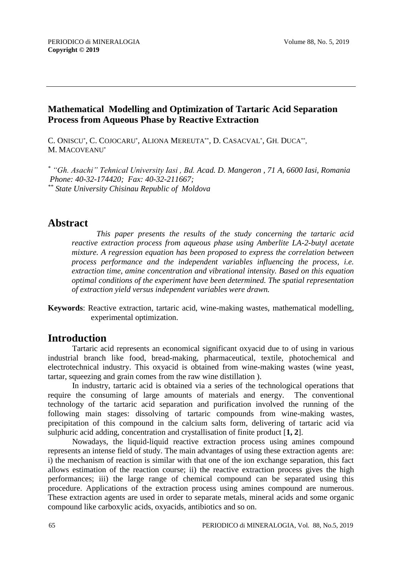## **Mathematical Modelling and Optimization of Tartaric Acid Separation Process from Aqueous Phase by Reactive Extraction**

C. ONISCU\*, C. COJOCARU\*, ALIONA MEREUTA\*\*, D. CASACVAL\*, GH. DUCA\*\*, M. MACOVEANU\*

*\* "Gh. Asachi" Tehnical University Iasi , Bd. Acad. D. Mangeron , 71 A, 6600 Iasi, Romania Phone: 40-32-174420; Fax: 40-32-211667; \*\* State University Chisinau Republic of Moldova*

# **Abstract**

*This paper presents the results of the study concerning the tartaric acid reactive extraction process from aqueous phase using Amberlite LA-2-butyl acetate mixture. A regression equation has been proposed to express the correlation between process performance and the independent variables influencing the process, i.e. extraction time, amine concentration and vibrational intensity. Based on this equation optimal conditions of the experiment have been determined. The spatial representation of extraction yield versus independent variables were drawn.* 

**Keywords**: Reactive extraction, tartaric acid, wine-making wastes, mathematical modelling, experimental optimization.

# **Introduction**

Tartaric acid represents an economical significant oxyacid due to of using in various industrial branch like food, bread-making, pharmaceutical, textile, photochemical and electrotechnical industry. This oxyacid is obtained from wine-making wastes (wine yeast, tartar, squeezing and grain comes from the raw wine distillation ).

In industry, tartaric acid is obtained via a series of the technological operations that require the consuming of large amounts of materials and energy. The conventional technology of the tartaric acid separation and purification involved the running of the following main stages: dissolving of tartaric compounds from wine-making wastes, precipitation of this compound in the calcium salts form, delivering of tartaric acid via sulphuric acid adding, concentration and crystallisation of finite product [**1, 2**].

Nowadays, the liquid-liquid reactive extraction process using amines compound represents an intense field of study. The main advantages of using these extraction agents are: i) the mechanism of reaction is similar with that one of the ion exchange separation, this fact allows estimation of the reaction course; ii) the reactive extraction process gives the high performances; iii) the large range of chemical compound can be separated using this procedure. Applications of the extraction process using amines compound are numerous. These extraction agents are used in order to separate metals, mineral acids and some organic compound like carboxylic acids, oxyacids, antibiotics and so on.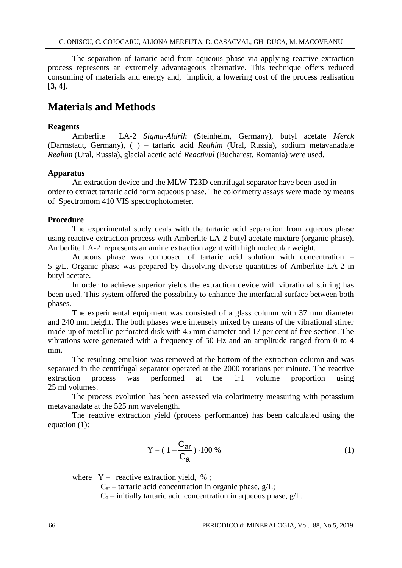The separation of tartaric acid from aqueous phase via applying reactive extraction process represents an extremely advantageous alternative. This technique offers reduced consuming of materials and energy and, implicit, a lowering cost of the process realisation [**3, 4**].

## **Materials and Methods**

#### **Reagents**

Amberlite LA-2 *Sigma-Aldrih* (Steinheim, Germany), butyl acetate *Merck* (Darmstadt, Germany), (+) – tartaric acid *Reahim* (Ural, Russia), sodium metavanadate *Reahim* (Ural, Russia), glacial acetic acid *Reactivul* (Bucharest, Romania) were used.

#### **Apparatus**

An extraction device and the MLW T23D centrifugal separator have been used in order to extract tartaric acid form aqueous phase. The colorimetry assays were made by means of Spectromom 410 VIS spectrophotometer.

#### **Procedure**

The experimental study deals with the tartaric acid separation from aqueous phase using reactive extraction process with Amberlite LA-2-butyl acetate mixture (organic phase). Amberlite LA-2 represents an amine extraction agent with high molecular weight.

Aqueous phase was composed of tartaric acid solution with concentration – 5 g/L. Organic phase was prepared by dissolving diverse quantities of Amberlite LA-2 in butyl acetate.

In order to achieve superior yields the extraction device with vibrational stirring has been used. This system offered the possibility to enhance the interfacial surface between both phases.

The experimental equipment was consisted of a glass column with 37 mm diameter and 240 mm height. The both phases were intensely mixed by means of the vibrational stirrer made-up of metallic perforated disk with 45 mm diameter and 17 per cent of free section. The vibrations were generated with a frequency of 50 Hz and an amplitude ranged from 0 to 4 mm.

The resulting emulsion was removed at the bottom of the extraction column and was separated in the centrifugal separator operated at the 2000 rotations per minute. The reactive extraction process was performed at the 1:1 volume proportion using 25 ml volumes.

The process evolution has been assessed via colorimetry measuring with potassium metavanadate at the 525 nm wavelength.

The reactive extraction yield (process performance) has been calculated using the equation (1):

$$
Y = (1 - \frac{C_{ar}}{C_a}) \cdot 100\%
$$
 (1)

where  $Y -$  reactive extraction yield, %;

 $C_{\text{ar}}$  – tartaric acid concentration in organic phase, g/L;

 $C_a$  – initially tartaric acid concentration in aqueous phase,  $g/L$ .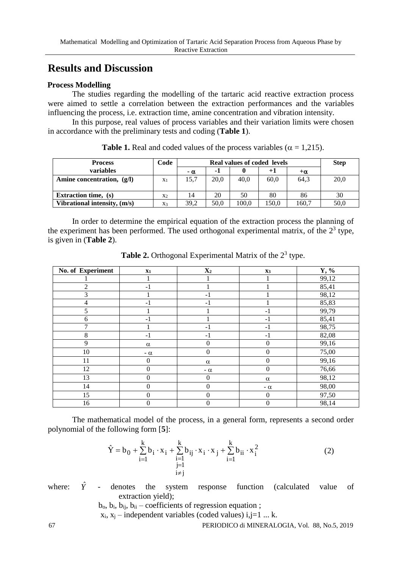# **Results and Discussion**

#### **Process Modelling**

The studies regarding the modelling of the tartaric acid reactive extraction process were aimed to settle a correlation between the extraction performances and the variables influencing the process, i.e. extraction time, amine concentration and vibration intensity.

In this purpose, real values of process variables and their variation limits were chosen in accordance with the preliminary tests and coding (**Table 1**).

| <b>Process</b>               | Code           | <b>Real values of coded levels</b> |      |       |      | <b>Step</b> |      |
|------------------------------|----------------|------------------------------------|------|-------|------|-------------|------|
| variables                    |                | $-\alpha$                          | -1   |       | $+1$ | $+\alpha$   |      |
| Amine concentration, $(g/I)$ | $X_1$          | 15,7                               | 20.0 | 40,0  | 60,0 | 64.3        | 20,0 |
| <b>Extraction time,</b> (s)  | X <sub>2</sub> | 14                                 | 20   | 50    | 80   | 86          | 30   |
| Vibrational intensity, (m/s) | $X_3$          | 39.2                               | 50.0 | 100.0 | 50.0 | 160.7       | 50,0 |

**Table 1.** Real and coded values of the process variables ( $\alpha = 1.215$ ).

In order to determine the empirical equation of the extraction process the planning of the experiment has been performed. The used orthogonal experimental matrix, of the  $2<sup>3</sup>$  type, is given in (**Table 2**).

| No. of Experiment | X1               | $\mathbf{X}_2$   | X3               | $Y, \%$ |
|-------------------|------------------|------------------|------------------|---------|
|                   |                  |                  |                  | 99,12   |
| $\mathfrak{2}$    | $-1$             |                  |                  | 85,41   |
| 3                 |                  | $-1$             |                  | 98,12   |
| $\overline{4}$    | $-1$             | $-1$             |                  | 85,83   |
| 5                 |                  |                  | $-1$             | 99,79   |
| 6                 | $-1$             |                  | $-1$             | 85,41   |
| 7                 |                  | $-1$             | $-1$             | 98,75   |
| 8                 | $-1$             | $-1$             | $-1$             | 82,08   |
| 9                 | $\alpha$         | $\mathbf{0}$     | $\boldsymbol{0}$ | 99,16   |
| 10                | - $\alpha$       | $\boldsymbol{0}$ | $\boldsymbol{0}$ | 75,00   |
| 11                | $\mathbf{0}$     | $\alpha$         | $\boldsymbol{0}$ | 99,16   |
| 12                | $\boldsymbol{0}$ | - $\alpha$       | $\boldsymbol{0}$ | 76,66   |
| 13                | $\mathbf{0}$     | $\overline{0}$   | $\alpha$         | 98,12   |
| 14                | $\theta$         | $\mathbf{0}$     | - $\alpha$       | 98,00   |
| 15                | $\Omega$         | $\Omega$         | $\boldsymbol{0}$ | 97,50   |
| 16                | $\boldsymbol{0}$ | $\boldsymbol{0}$ | $\boldsymbol{0}$ | 98,14   |

Table 2. Orthogonal Experimental Matrix of the 2<sup>3</sup> type.

The mathematical model of the process, in a general form, represents a second order polynomial of the following form [**5**]:

$$
\hat{Y} = b_0 + \sum_{i=1}^{k} b_i \cdot x_i + \sum_{\substack{i=1 \ i \neq j}}^{k} b_{ij} \cdot x_i \cdot x_j + \sum_{i=1}^{k} b_{ii} \cdot x_i^2
$$
\n(2)

where: *Y* ˆ - denotes the system response function (calculated value of extraction yield);

 $b_0$ ,  $b_i$ ,  $b_{ii}$ ,  $b_{ii}$  – coefficients of regression equation ;

 $x_i$ ,  $x_j$  – independent variables (coded values) i, j=1 ... k.

67 PERIODICO di MINERALOGIA, Vol. 88, No.5, 2019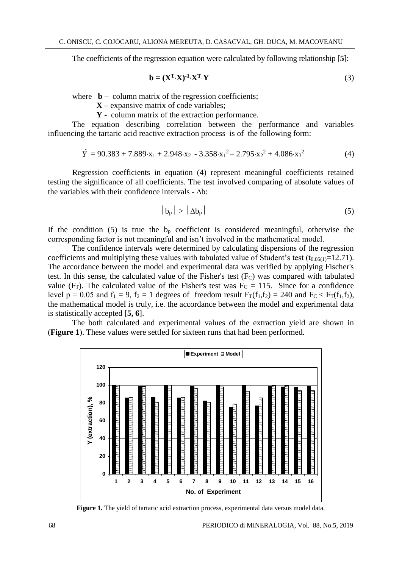The coefficients of the regression equation were calculated by following relationship [**5**]:

$$
\mathbf{b} = (\mathbf{X}^{\mathrm{T}} \cdot \mathbf{X})^{-1} \cdot \mathbf{X}^{\mathrm{T}} \cdot \mathbf{Y}
$$
 (3)

where  $\mathbf{b}$  – column matrix of the regression coefficients;

**X** – expansive matrix of code variables;

**Y -** column matrix of the extraction performance.

The equation describing correlation between the performance and variables influencing the tartaric acid reactive extraction process is of the following form:

$$
\hat{Y} = 90.383 + 7.889 \cdot x_1 + 2.948 \cdot x_2 - 3.358 \cdot x_1^2 - 2.795 \cdot x_2^2 + 4.086 \cdot x_3^2 \tag{4}
$$

Regression coefficients in equation (4) represent meaningful coefficients retained testing the significance of all coefficients. The test involved comparing of absolute values of the variables with their confidence intervals -  $\Delta b$ :

$$
|b_p| > |\Delta b_p| \tag{5}
$$

If the condition (5) is true the  $b<sub>p</sub>$  coefficient is considered meaningful, otherwise the corresponding factor is not meaningful and isn't involved in the mathematical model.

The confidence intervals were determined by calculating dispersions of the regression coefficients and multiplying these values with tabulated value of Student's test  $(t_{0.05(1)}=12.71)$ . The accordance between the model and experimental data was verified by applying Fischer's test. In this sense, the calculated value of the Fisher's test (FC) was compared with tabulated value (F<sub>T</sub>). The calculated value of the Fisher's test was  $F_C = 115$ . Since for a confidence level  $p = 0.05$  and  $f_1 = 9$ ,  $f_2 = 1$  degrees of freedom result  $F_T(f_1, f_2) = 240$  and  $F_C < F_T(f_1, f_2)$ , the mathematical model is truly, i.e. the accordance between the model and experimental data is statistically accepted [**5, 6**].

The both calculated and experimental values of the extraction yield are shown in (**Figure 1**). These values were settled for sixteen runs that had been performed.



Figure 1. The yield of tartaric acid extraction process, experimental data versus model data.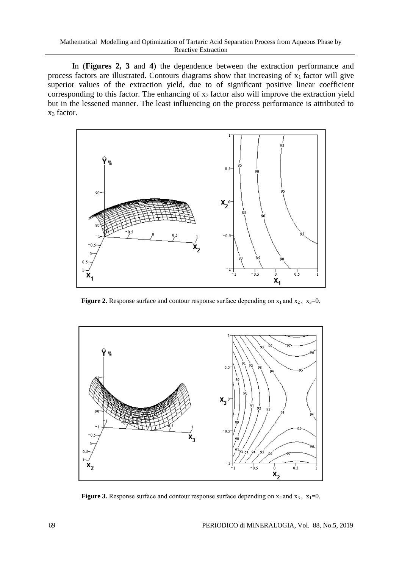In (**Figures 2, 3** and **4**) the dependence between the extraction performance and process factors are illustrated. Contours diagrams show that increasing of x1 factor will give superior values of the extraction yield, due to of significant positive linear coefficient corresponding to this factor. The enhancing of  $x_2$  factor also will improve the extraction yield but in the lessened manner. The least influencing on the process performance is attributed to x<sup>3</sup> factor.



**Figure 2.** Response surface and contour response surface depending on  $x_1$  and  $x_2$ ,  $x_3=0$ .



**Figure 3.** Response surface and contour response surface depending on  $x_2$  and  $x_3$ ,  $x_1=0$ .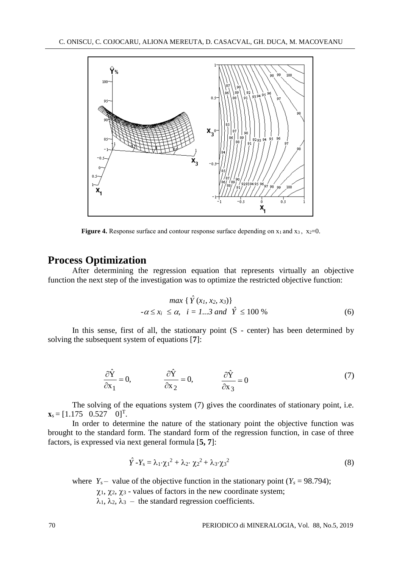

**Figure 4.** Response surface and contour response surface depending on  $x_1$  and  $x_3$ ,  $x_2=0$ .

#### **Process Optimization**

After determining the regression equation that represents virtually an objective function the next step of the investigation was to optimize the restricted objective function:

$$
\max \{ \hat{Y}(x_1, x_2, x_3) \}
$$
  
- $\alpha \le x_i \le \alpha, \quad i = 1...3 \text{ and } \hat{Y} \le 100 \%$  (6)

In this sense, first of all, the stationary point  $(S - center)$  has been determined by solving the subsequent system of equations [**7**]:

$$
\frac{\partial \hat{Y}}{\partial x_1} = 0, \qquad \frac{\partial \hat{Y}}{\partial x_2} = 0, \qquad \frac{\partial \hat{Y}}{\partial x_3} = 0 \tag{7}
$$

The solving of the equations system (7) gives the coordinates of stationary point, i.e.  $\mathbf{x}_s = [1.175 \quad 0.527 \quad 0]^T$ .

In order to determine the nature of the stationary point the objective function was brought to the standard form. The standard form of the regression function, in case of three factors, is expressed via next general formula [**5, 7**]:

$$
\hat{Y} - Y_s = \lambda_1 \cdot \chi_1^2 + \lambda_2 \cdot \chi_2^2 + \lambda_3 \cdot \chi_3^2 \tag{8}
$$

where  $Y_s$  – value of the objective function in the stationary point  $(Y_s = 98.794)$ ;

 $\chi_1$ ,  $\chi_2$ ,  $\chi_3$  - values of factors in the new coordinate system;

 $\lambda_1, \lambda_2, \lambda_3$  – the standard regression coefficients.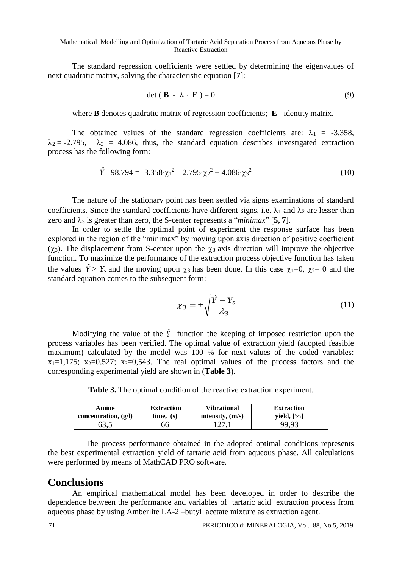The standard regression coefficients were settled by determining the eigenvalues of next quadratic matrix, solving the characteristic equation [**7**]:

$$
\det (\mathbf{B} - \lambda \cdot \mathbf{E}) = 0 \tag{9}
$$

where **B** denotes quadratic matrix of regression coefficients; **E -** identity matrix.

The obtained values of the standard regression coefficients are:  $\lambda_1 = -3.358$ ,  $\lambda_2 = -2.795$ ,  $\lambda_3 = 4.086$ , thus, the standard equation describes investigated extraction process has the following form:

$$
\hat{Y} - 98.794 = -3.358 \cdot \chi_1^2 - 2.795 \cdot \chi_2^2 + 4.086 \cdot \chi_3^2 \tag{10}
$$

The nature of the stationary point has been settled via signs examinations of standard coefficients. Since the standard coefficients have different signs, i.e.  $\lambda_1$  and  $\lambda_2$  are lesser than zero and  $\lambda_3$  is greater than zero, the S-center represents a "*minimax*" [5, 7].

In order to settle the optimal point of experiment the response surface has been explored in the region of the "minimax" by moving upon axis direction of positive coefficient  $(\gamma_3)$ . The displacement from S-center upon the  $\gamma_3$  axis direction will improve the objective function. To maximize the performance of the extraction process objective function has taken the values  $\hat{Y} > Y_s$  and the moving upon  $\chi_3$  has been done. In this case  $\chi_1=0$ ,  $\chi_2=0$  and the standard equation comes to the subsequent form:

$$
\chi_3 = \pm \sqrt{\frac{\hat{Y} - Y_s}{\lambda_3}}\tag{11}
$$

Modifying the value of the *Y* function the keeping of imposed restriction upon the process variables has been verified. The optimal value of extraction yield (adopted feasible maximum) calculated by the model was 100 % for next values of the coded variables:  $x_1=1,175$ ;  $x_2=0,527$ ;  $x_3=0,543$ . The real optimal values of the process factors and the corresponding experimental yield are shown in (**Table 3**).

**Table 3.** The optimal condition of the reactive extraction experiment.

| Amine                  | <b>Extraction</b> | <b>Vibrational</b> | <b>Extraction</b> |
|------------------------|-------------------|--------------------|-------------------|
| concentration, $(g/I)$ | $time.$ (s)       | intensity, $(m/s)$ | vield, $[\%]$     |
|                        | 66                |                    | 99.93             |

The process performance obtained in the adopted optimal conditions represents the best experimental extraction yield of tartaric acid from aqueous phase. All calculations were performed by means of MathCAD PRO software.

### **Conclusions**

An empirical mathematical model has been developed in order to describe the dependence between the performance and variables of tartaric acid extraction process from aqueous phase by using Amberlite LA-2 –butyl acetate mixture as extraction agent.